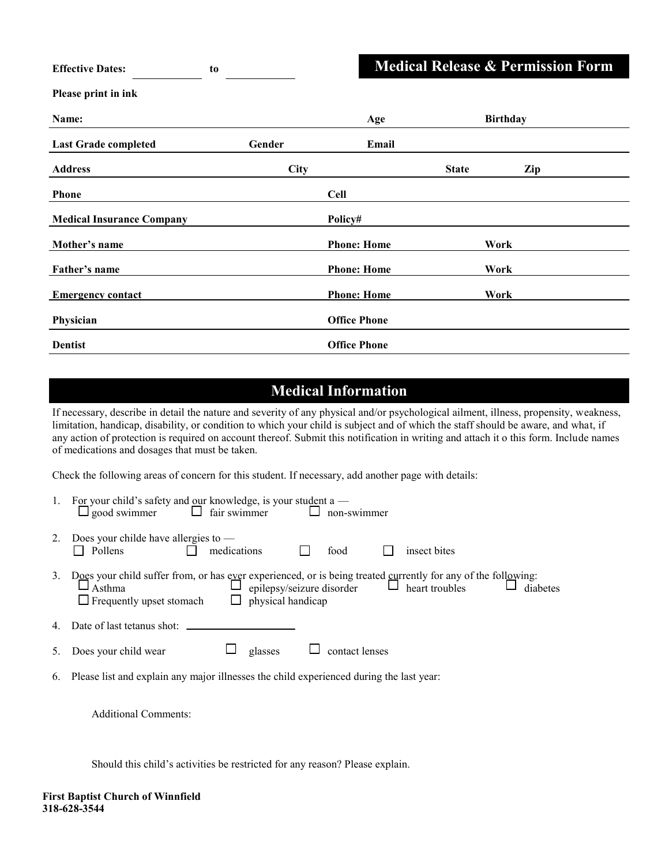|  |  | <b>Medical Release &amp; Permission Form</b> |  |
|--|--|----------------------------------------------|--|
|--|--|----------------------------------------------|--|

| <b>Effective Dates:</b>          | to     |                     | <b>Medical Release &amp; Permission Form</b> |                 |  |
|----------------------------------|--------|---------------------|----------------------------------------------|-----------------|--|
| Please print in ink              |        |                     |                                              |                 |  |
| Name:                            |        | Age                 |                                              | <b>Birthday</b> |  |
| <b>Last Grade completed</b>      | Gender | Email               |                                              |                 |  |
| <b>Address</b>                   | City   |                     | <b>State</b>                                 | Zip             |  |
| <b>Phone</b>                     |        | <b>Cell</b>         |                                              |                 |  |
| <b>Medical Insurance Company</b> |        | Policy#             |                                              |                 |  |
| Mother's name                    |        | <b>Phone: Home</b>  | Work                                         |                 |  |
| Father's name                    |        | <b>Phone: Home</b>  | Work                                         |                 |  |
| <b>Emergency contact</b>         |        | <b>Phone: Home</b>  | Work                                         |                 |  |
| Physician                        |        | <b>Office Phone</b> |                                              |                 |  |
| <b>Dentist</b>                   |        | <b>Office Phone</b> |                                              |                 |  |

## **Medical Information**

If necessary, describe in detail the nature and severity of any physical and/or psychological ailment, illness, propensity, weakness, limitation, handicap, disability, or condition to which your child is subject and of which the staff should be aware, and what, if any action of protection is required on account thereof. Submit this notification in writing and attach it o this form. Include names of medications and dosages that must be taken.

Check the following areas of concern for this student. If necessary, add another page with details:

|    | For your child's safety and our knowledge, is your student a —<br>good swimmer $\Box$ fair swimmer<br>ப<br>non-swimmer                                                                                    |
|----|-----------------------------------------------------------------------------------------------------------------------------------------------------------------------------------------------------------|
|    | Does your childe have allergies to $-$<br>medications<br>Pollens<br>food<br>insect bites                                                                                                                  |
| 3. | Does your child suffer from, or has ever experienced, or is being treated currently for any of the following:<br>$\Box$ Asthma<br>diabetes<br>$\Box$ physical handicap<br>$\Box$ Frequently upset stomach |
|    | Date of last tetanus shot:                                                                                                                                                                                |
|    | Ш<br>contact lenses<br>glasses<br>Does your child wear                                                                                                                                                    |
|    | 6. Please list and explain any major illnesses the child experienced during the last year:                                                                                                                |

Additional Comments:

Should this child's activities be restricted for any reason? Please explain.